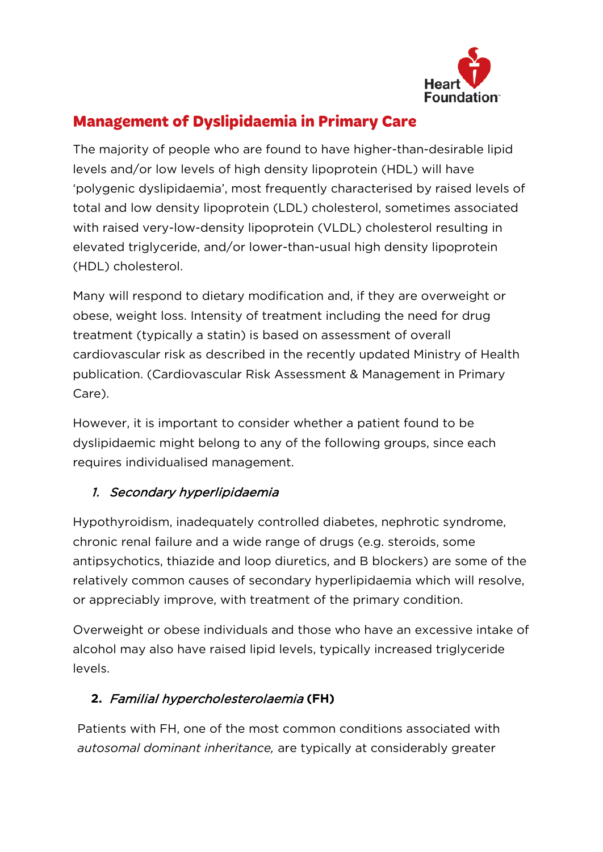

# **Management of Dyslipidaemia in Primary Care**

The majority of people who are found to have higher-than-desirable lipid levels and/or low levels of high density lipoprotein (HDL) will have 'polygenic dyslipidaemia', most frequently characterised by raised levels of total and low density lipoprotein (LDL) cholesterol, sometimes associated with raised very-low-density lipoprotein (VLDL) cholesterol resulting in elevated triglyceride, and/or lower-than-usual high density lipoprotein (HDL) cholesterol.

Many will respond to dietary modification and, if they are overweight or obese, weight loss. Intensity of treatment including the need for drug treatment (typically a statin) is based on assessment of overall cardiovascular risk as described in the recently updated Ministry of Health publication. (Cardiovascular Risk Assessment & Management in Primary Care).

However, it is important to consider whether a patient found to be dyslipidaemic might belong to any of the following groups, since each requires individualised management.

#### 1. Secondary hyperlipidaemia

Hypothyroidism, inadequately controlled diabetes, nephrotic syndrome, chronic renal failure and a wide range of drugs (e.g. steroids, some antipsychotics, thiazide and loop diuretics, and B blockers) are some of the relatively common causes of secondary hyperlipidaemia which will resolve, or appreciably improve, with treatment of the primary condition.

Overweight or obese individuals and those who have an excessive intake of alcohol may also have raised lipid levels, typically increased triglyceride levels.

#### **2.** Familial hypercholesterolaemia **(FH)**

Patients with FH, one of the most common conditions associated with *autosomal dominant inheritance,* are typically at considerably greater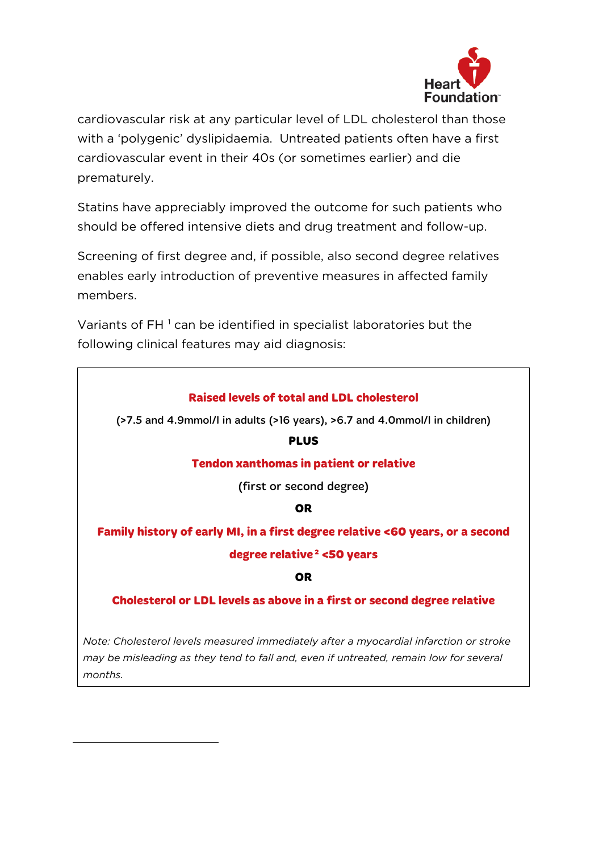

cardiovascular risk at any particular level of LDL cholesterol than those with a 'polygenic' dyslipidaemia. Untreated patients often have a first cardiovascular event in their 40s (or sometimes earlier) and die prematurely.

Statins have appreciably improved the outcome for such patients who should be offered intensive diets and drug treatment and follow-up.

Screening of first degree and, if possible, also second degree relatives enables early introduction of preventive measures in affected family members.

Variants of FH<sup>[1](#page-1-0)</sup> can be identified in specialist laboratories but the following clinical features may aid diagnosis:

| <b>Raised levels of total and LDL cholesterol</b>                                     |
|---------------------------------------------------------------------------------------|
| (>7.5 and 4.9mmol/l in adults (>16 years), >6.7 and 4.0mmol/l in children)            |
| <b>PLUS</b>                                                                           |
| <b>Tendon xanthomas in patient or relative</b>                                        |
| (first or second degree)                                                              |
| <b>OR</b>                                                                             |
| Family history of early MI, in a first degree relative <60 years, or a second         |
| degree relative <sup>2</sup> <50 years                                                |
| <b>OR</b>                                                                             |
| <b>Cholesterol or LDL levels as above in a first or second degree relative</b>        |
|                                                                                       |
| Note: Cholesterol levels measured immediately after a myocardial infarction or stroke |

*Note: Cholesterol levels measured immediately after a myocardial infarction or stroke may be misleading as they tend to fall and, even if untreated, remain low for several months.*

<span id="page-1-0"></span>i,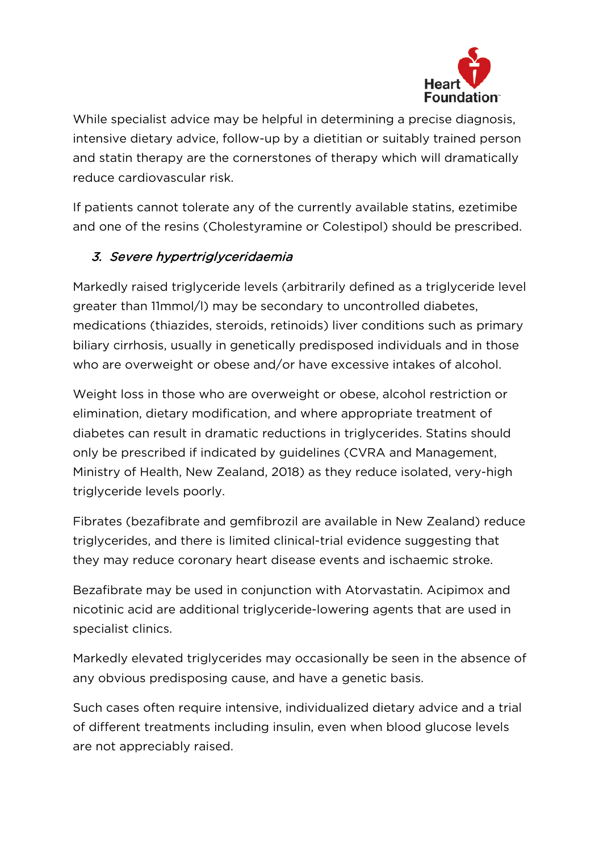

While specialist advice may be helpful in determining a precise diagnosis, intensive dietary advice, follow-up by a dietitian or suitably trained person and statin therapy are the cornerstones of therapy which will dramatically reduce cardiovascular risk.

If patients cannot tolerate any of the currently available statins, ezetimibe and one of the resins (Cholestyramine or Colestipol) should be prescribed.

## 3. Severe hypertriglyceridaemia

Markedly raised triglyceride levels (arbitrarily defined as a triglyceride level greater than 11mmol/l) may be secondary to uncontrolled diabetes, medications (thiazides, steroids, retinoids) liver conditions such as primary biliary cirrhosis, usually in genetically predisposed individuals and in those who are overweight or obese and/or have excessive intakes of alcohol.

Weight loss in those who are overweight or obese, alcohol restriction or elimination, dietary modification, and where appropriate treatment of diabetes can result in dramatic reductions in triglycerides. Statins should only be prescribed if indicated by guidelines (CVRA and Management, Ministry of Health, New Zealand, 2018) as they reduce isolated, very-high triglyceride levels poorly.

Fibrates (bezafibrate and gemfibrozil are available in New Zealand) reduce triglycerides, and there is limited clinical-trial evidence suggesting that they may reduce coronary heart disease events and ischaemic stroke.

Bezafibrate may be used in conjunction with Atorvastatin. Acipimox and nicotinic acid are additional triglyceride-lowering agents that are used in specialist clinics.

Markedly elevated triglycerides may occasionally be seen in the absence of any obvious predisposing cause, and have a genetic basis.

Such cases often require intensive, individualized dietary advice and a trial of different treatments including insulin, even when blood glucose levels are not appreciably raised.